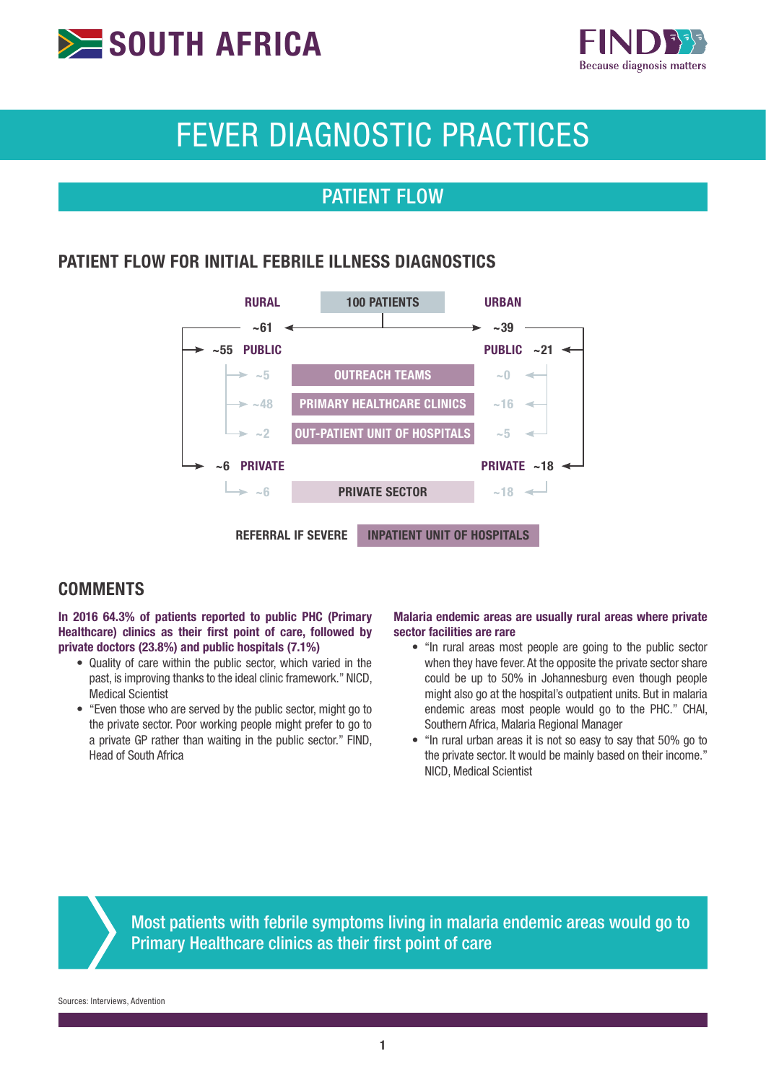



# FEVER DIAGNOSTIC PRACTICES

# PATIENT FLOW

### PATIENT FLOW FOR INITIAL FEBRILE ILLNESS DIAGNOSTICS



#### **COMMENTS**

In 2016 64.3% of patients reported to public PHC (Primary Healthcare) clinics as their first point of care, followed by private doctors (23.8%) and public hospitals (7.1%)

- Quality of care within the public sector, which varied in the past, is improving thanks to the ideal clinic framework." NICD, Medical Scientist
- "Even those who are served by the public sector, might go to the private sector. Poor working people might prefer to go to a private GP rather than waiting in the public sector." FIND, Head of South Africa

#### Malaria endemic areas are usually rural areas where private sector facilities are rare

- "In rural areas most people are going to the public sector when they have fever. At the opposite the private sector share could be up to 50% in Johannesburg even though people might also go at the hospital's outpatient units. But in malaria endemic areas most people would go to the PHC." CHAI, Southern Africa, Malaria Regional Manager
- "In rural urban areas it is not so easy to say that 50% go to the private sector. It would be mainly based on their income." NICD, Medical Scientist

Most patients with febrile symptoms living in malaria endemic areas would go to Primary Healthcare clinics as their first point of care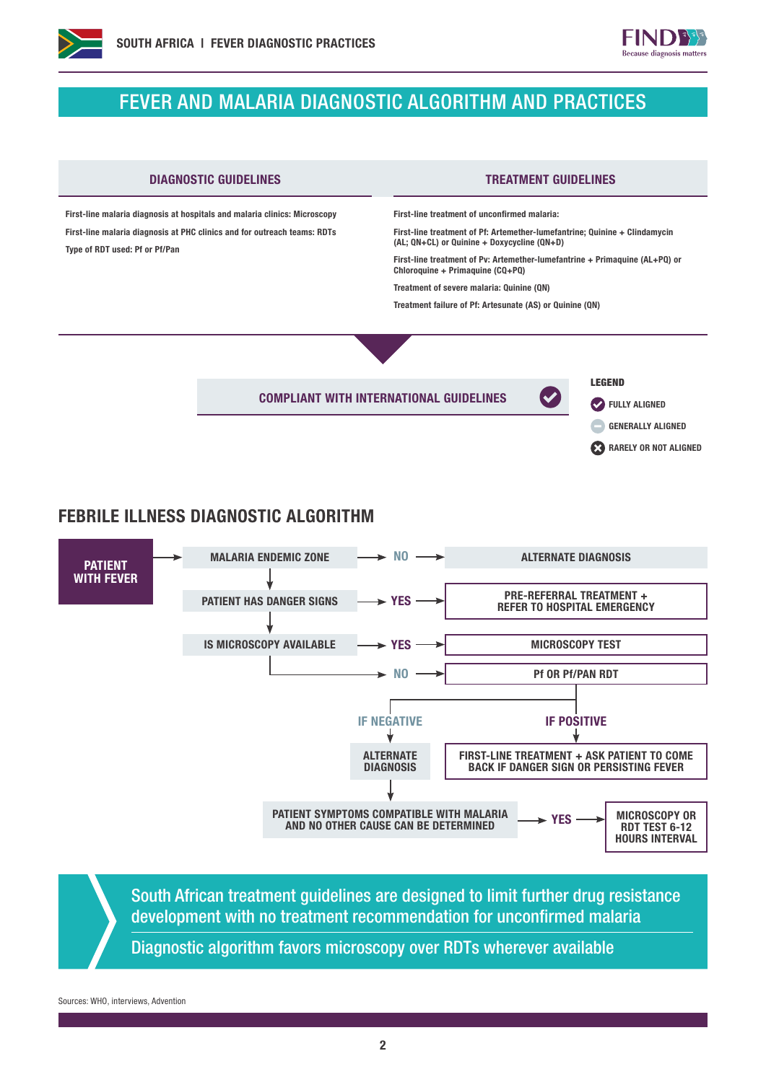

## FEVER AND MALARIA DIAGNOSTIC ALGORITHM AND PRACTICES



### FEBRILE ILLNESS DIAGNOSTIC ALGORITHM



South African treatment guidelines are designed to limit further drug resistance development with no treatment recommendation for unconfirmed malaria

Diagnostic algorithm favors microscopy over RDTs wherever available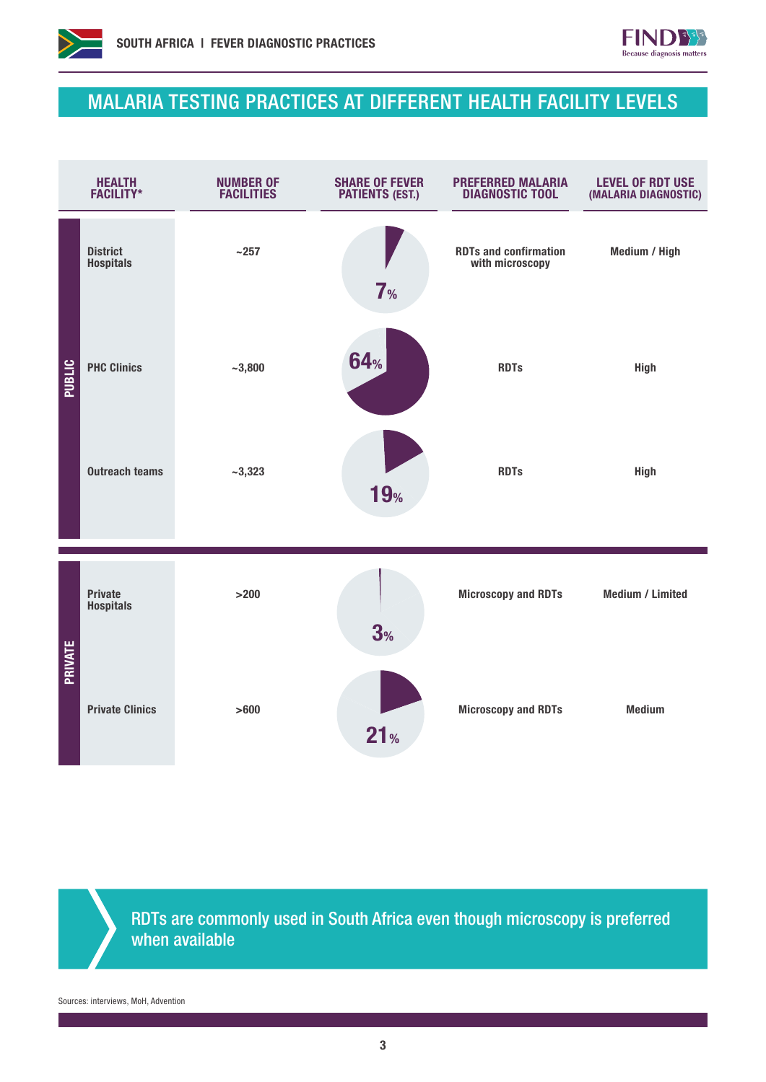



## MALARIA TESTING PRACTICES AT DIFFERENT HEALTH FACILITY LEVELS



RDTs are commonly used in South Africa even though microscopy is preferred when available

Sources: interviews, MoH, Advention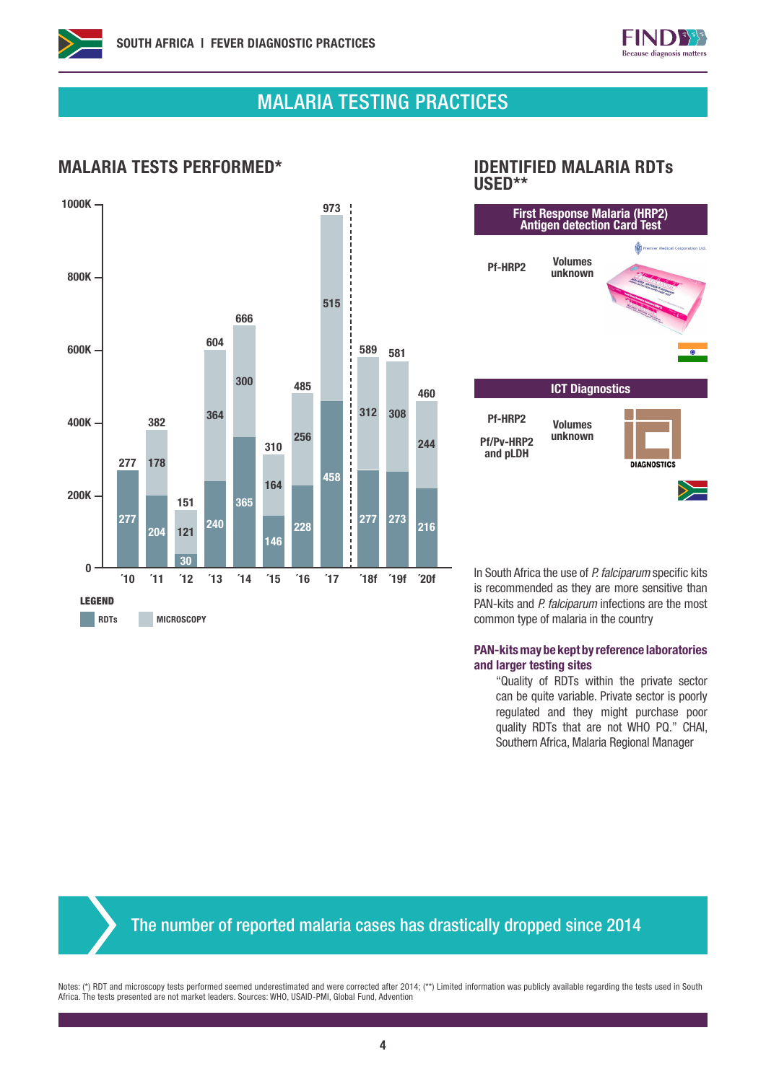



## MALARIA TESTING PRACTICES

#### MALARIA TESTS PERFORMED\* IDENTIFIED MALARIA RDTs



# USED\*\*



In South Africa the use of *P. falciparum* specific kits is recommended as they are more sensitive than PAN-kits and *P. falciparum* infections are the most common type of malaria in the country

#### PAN-kits may be kept by reference laboratories and larger testing sites

"Quality of RDTs within the private sector can be quite variable. Private sector is poorly regulated and they might purchase poor quality RDTs that are not WHO PQ." CHAI, Southern Africa, Malaria Regional Manager

The number of reported malaria cases has drastically dropped since 2014

Notes: (\*) RDT and microscopy tests performed seemed underestimated and were corrected after 2014; (\*\*) Limited information was publicly available regarding the tests used in South Africa. The tests presented are not market leaders. Sources: WHO, USAID-PMI, Global Fund, Advention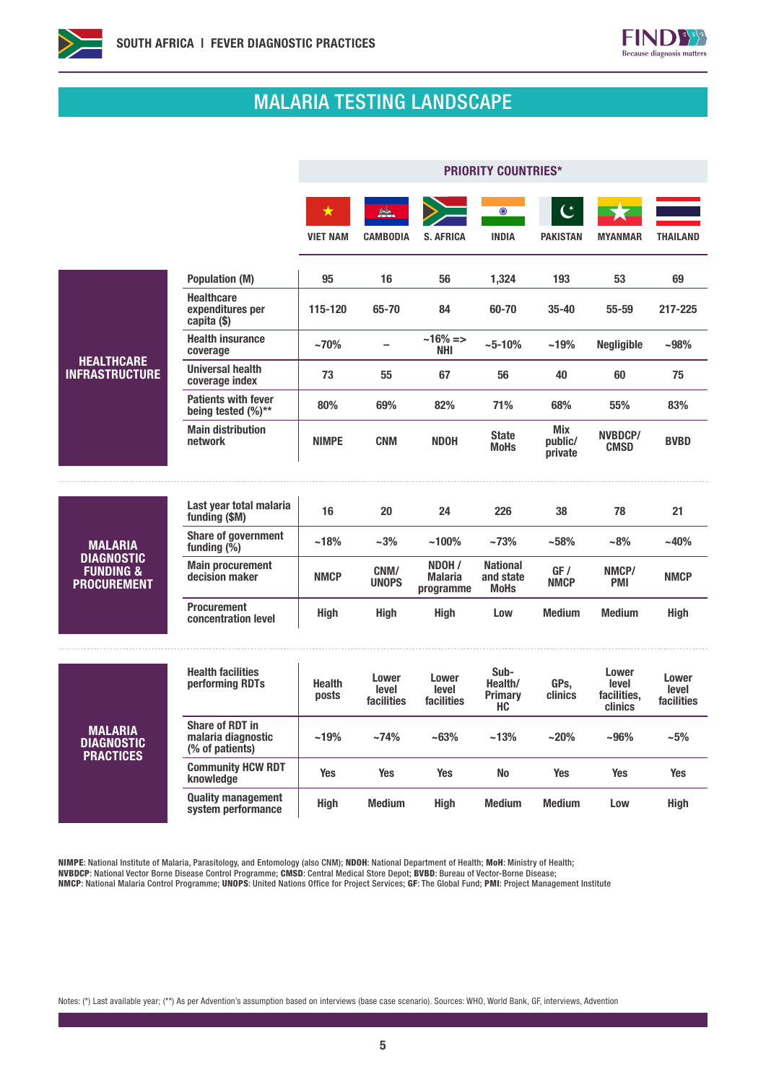



# MALARIA TESTING LANDSCAPE

|                                                                                   |                                                                 | <b>PRIORITY COUNTRIES*</b>    |                              |                                       |                                                |                                   |                                          |                              |
|-----------------------------------------------------------------------------------|-----------------------------------------------------------------|-------------------------------|------------------------------|---------------------------------------|------------------------------------------------|-----------------------------------|------------------------------------------|------------------------------|
|                                                                                   |                                                                 | $\bigstar$<br><b>VIET NAM</b> | <b>CAMBODIA</b>              | <b>S. AFRICA</b>                      | $\odot$<br><b>INDIA</b>                        | $\mathfrak{C}$<br><b>PAKISTAN</b> | <b>MYANMAR</b>                           | <b>THAILAND</b>              |
| <b>HEALTHCARE</b><br><b>INFRASTRUCTURE</b>                                        | <b>Population (M)</b>                                           | 95                            | 16                           | 56                                    | 1,324                                          | 193                               | 53                                       | 69                           |
|                                                                                   | <b>Healthcare</b><br>expenditures per<br>capita (\$)            | 115-120                       | 65-70                        | 84                                    | 60-70                                          | 35-40                             | $55 - 59$                                | 217-225                      |
|                                                                                   | <b>Health insurance</b><br>coverage                             | ~170%                         | $\overline{\phantom{0}}$     | $~16\% = >$<br>NHI                    | $~10\%$                                        | ~19%                              | <b>Negligible</b>                        | $-98%$                       |
|                                                                                   | <b>Universal health</b><br>coverage index                       | 73                            | 55                           | 67                                    | 56                                             | 40                                | 60                                       | 75                           |
|                                                                                   | <b>Patients with fever</b><br>being tested $(\%)^{**}$          | 80%                           | 69%                          | 82%                                   | 71%                                            | 68%                               | 55%                                      | 83%                          |
|                                                                                   | <b>Main distribution</b><br>network                             | <b>NIMPE</b>                  | <b>CNM</b>                   | <b>NDOH</b>                           | <b>State</b><br><b>MoHs</b>                    | Mix<br>public/<br>private         | NVBDCP/<br><b>CMSD</b>                   | <b>BVBD</b>                  |
|                                                                                   |                                                                 |                               |                              |                                       |                                                |                                   |                                          |                              |
| <b>MALARIA</b><br><b>DIAGNOSTIC</b><br><b>FUNDING &amp;</b><br><b>PROCUREMENT</b> | Last year total malaria<br>funding (\$M)                        | 16                            | 20                           | 24                                    | 226                                            | 38                                | 78                                       | 21                           |
|                                                                                   | <b>Share of government</b><br>funding $(\%)$                    | ~18%                          | $~1.3\%$                     | $~100\%$                              | ~173%                                          | ~158%                             | $-8%$                                    | $-40%$                       |
|                                                                                   | <b>Main procurement</b><br>decision maker                       | <b>NMCP</b>                   | CNM/<br><b>UNOPS</b>         | NDOH /<br><b>Malaria</b><br>programme | <b>National</b><br>and state<br><b>MoHs</b>    | GF /<br><b>NMCP</b>               | NMCP/<br>PMI                             | <b>NMCP</b>                  |
|                                                                                   | <b>Procurement</b><br>concentration level                       | <b>High</b>                   | <b>High</b>                  | <b>High</b>                           | Low                                            | <b>Medium</b>                     | <b>Medium</b>                            | <b>High</b>                  |
| <b>MALARIA</b><br><b>DIAGNOSTIC</b><br><b>PRACTICES</b>                           | <b>Health facilities</b><br>performing RDTs                     | <b>Health</b><br>posts        | Lower<br>level<br>facilities | Lower<br>level<br>facilities          | Sub-<br>Health/<br><b>Primary</b><br><b>HC</b> | GPs,<br>clinics                   | Lower<br>level<br>facilities,<br>clinics | Lower<br>level<br>facilities |
|                                                                                   | <b>Share of RDT in</b><br>malaria diagnostic<br>(% of patients) | $~19\%$                       | ~174%                        | ~163%                                 | $~13\%$                                        | $~20\%$                           | $-96%$                                   | $-5%$                        |
|                                                                                   | <b>Community HCW RDT</b><br>knowledge                           | <b>Yes</b>                    | <b>Yes</b>                   | <b>Yes</b>                            | <b>No</b>                                      | <b>Yes</b>                        | <b>Yes</b>                               | <b>Yes</b>                   |
|                                                                                   | <b>Quality management</b><br>system performance                 | <b>High</b>                   | <b>Medium</b>                | <b>High</b>                           | <b>Medium</b>                                  | <b>Medium</b>                     | Low                                      | <b>High</b>                  |

NIMPE: National Institute of Malaria, Parasitology, and Entomology (also CNM); NDOH: National Department of Health; MoH: Ministry of Health; NVBDCP: National Vector Borne Disease Control Programme; CMSD: Central Medical Store Depot; BVBD: Bureau of Vector-Borne Disease;

NMCP: National Malaria Control Programme; UNOPS: United Nations Office for Project Services; GF: The Global Fund; PMI: Project Management Institute

Notes: (\*) Last available year; (\*\*) As per Advention's assumption based on interviews (base case scenario). Sources: WHO, World Bank, GF, interviews, Advention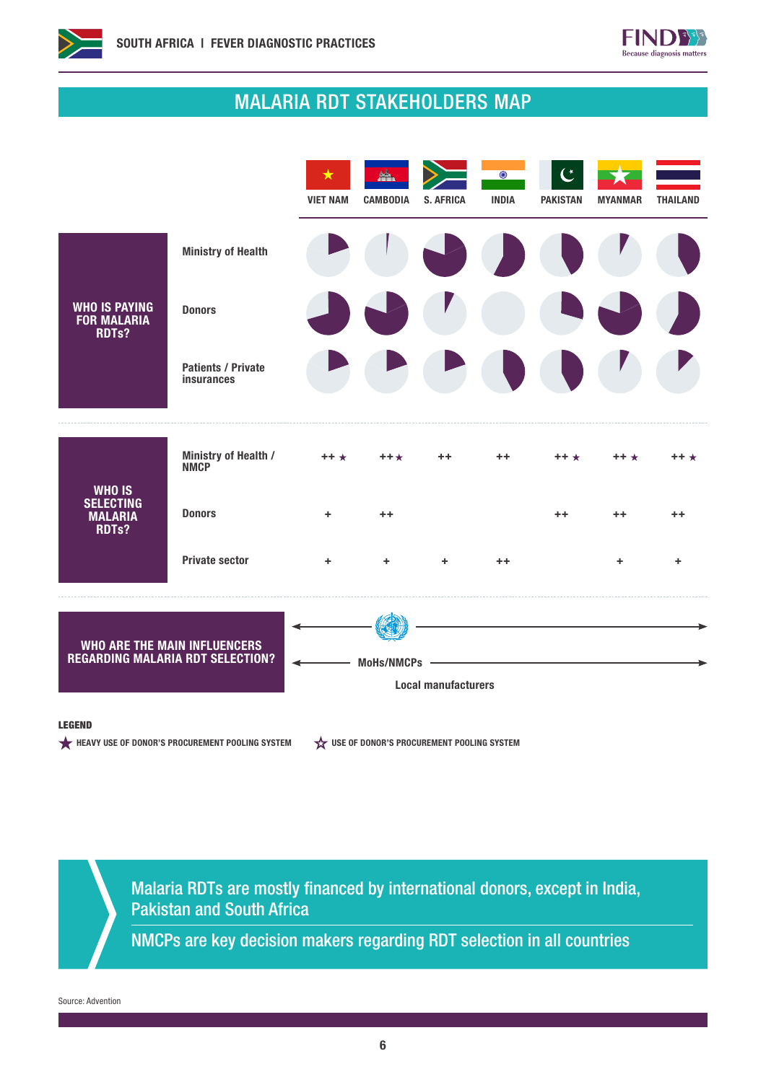



# MALARIA RDT STAKEHOLDERS MAP



#### LEGEND

HEAVY USE OF DONOR'S PROCUREMENT POOLING SYSTEM  $\overleftrightarrow{\mathbf{x}}$  use of Donor's procurement pooling system

Malaria RDTs are mostly financed by international donors, except in India, Pakistan and South Africa

NMCPs are key decision makers regarding RDT selection in all countries

Source: Advention